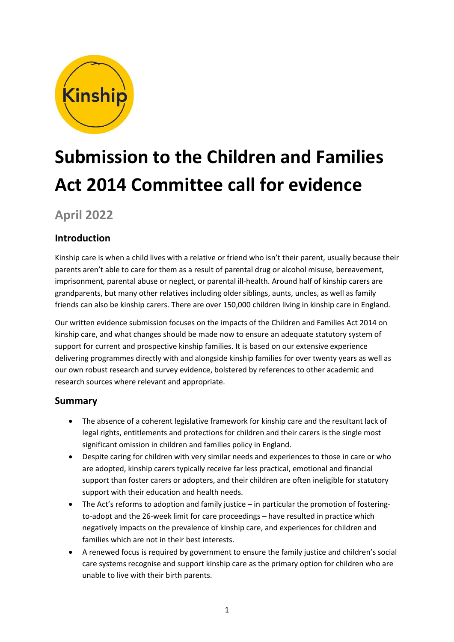

# **Submission to the Children and Families Act 2014 Committee call for evidence**

# **April 2022**

# **Introduction**

Kinship care is when a child lives with a relative or friend who isn't their parent, usually because their parents aren't able to care for them as a result of parental drug or alcohol misuse, bereavement, imprisonment, parental abuse or neglect, or parental ill-health. Around half of kinship carers are grandparents, but many other relatives including older siblings, aunts, uncles, as well as family friends can also be kinship carers. There are over 150,000 children living in kinship care in England.

Our written evidence submission focuses on the impacts of the Children and Families Act 2014 on kinship care, and what changes should be made now to ensure an adequate statutory system of support for current and prospective kinship families. It is based on our extensive experience delivering programmes directly with and alongside kinship families for over twenty years as well as our own robust research and survey evidence, bolstered by references to other academic and research sources where relevant and appropriate.

# **Summary**

- The absence of a coherent legislative framework for kinship care and the resultant lack of legal rights, entitlements and protections for children and their carers is the single most significant omission in children and families policy in England.
- Despite caring for children with very similar needs and experiences to those in care or who are adopted, kinship carers typically receive far less practical, emotional and financial support than foster carers or adopters, and their children are often ineligible for statutory support with their education and health needs.
- The Act's reforms to adoption and family justice in particular the promotion of fosteringto-adopt and the 26-week limit for care proceedings – have resulted in practice which negatively impacts on the prevalence of kinship care, and experiences for children and families which are not in their best interests.
- A renewed focus is required by government to ensure the family justice and children's social care systems recognise and support kinship care as the primary option for children who are unable to live with their birth parents.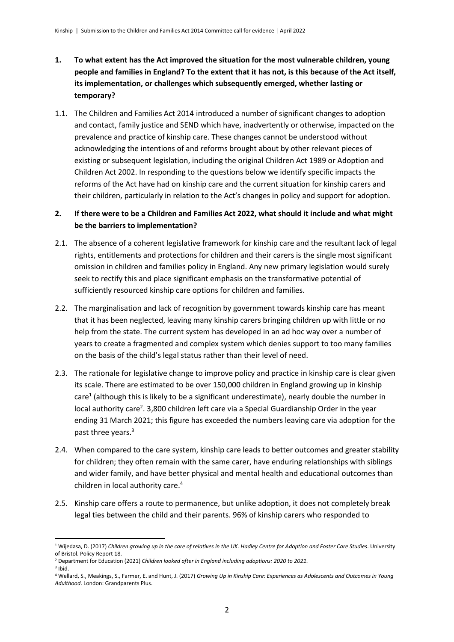- **1. To what extent has the Act improved the situation for the most vulnerable children, young people and families in England? To the extent that it has not, is this because of the Act itself, its implementation, or challenges which subsequently emerged, whether lasting or temporary?**
- 1.1. The Children and Families Act 2014 introduced a number of significant changes to adoption and contact, family justice and SEND which have, inadvertently or otherwise, impacted on the prevalence and practice of kinship care. These changes cannot be understood without acknowledging the intentions of and reforms brought about by other relevant pieces of existing or subsequent legislation, including the original Children Act 1989 or Adoption and Children Act 2002. In responding to the questions below we identify specific impacts the reforms of the Act have had on kinship care and the current situation for kinship carers and their children, particularly in relation to the Act's changes in policy and support for adoption.

#### **2. If there were to be a Children and Families Act 2022, what should it include and what might be the barriers to implementation?**

- 2.1. The absence of a coherent legislative framework for kinship care and the resultant lack of legal rights, entitlements and protections for children and their carers is the single most significant omission in children and families policy in England. Any new primary legislation would surely seek to rectify this and place significant emphasis on the transformative potential of sufficiently resourced kinship care options for children and families.
- 2.2. The marginalisation and lack of recognition by government towards kinship care has meant that it has been neglected, leaving many kinship carers bringing children up with little or no help from the state. The current system has developed in an ad hoc way over a number of years to create a fragmented and complex system which denies support to too many families on the basis of the child's legal status rather than their level of need.
- 2.3. The rationale for legislative change to improve policy and practice in kinship care is clear given its scale. There are estimated to be over 150,000 children in England growing up in kinship care<sup>1</sup> (although this is likely to be a significant underestimate), nearly double the number in local authority care<sup>2</sup>. 3,800 children left care via a Special Guardianship Order in the year ending 31 March 2021; this figure has exceeded the numbers leaving care via adoption for the past three years.<sup>3</sup>
- 2.4. When compared to the care system, kinship care leads to better outcomes and greater stability for children; they often remain with the same carer, have enduring relationships with siblings and wider family, and have better physical and mental health and educational outcomes than children in local authority care.<sup>4</sup>
- 2.5. Kinship care offers a route to permanence, but unlike adoption, it does not completely break legal ties between the child and their parents. 96% of kinship carers who responded to

3 Ibid.

<sup>1</sup> Wijedasa, D. (2017) *Children growing up in the care of relatives in the UK. Hadley Centre for Adoption and Foster Care Studies*. University of Bristol. Policy Report 18.

<sup>2</sup> Department for Education (2021) *Children looked after in England including adoptions: 2020 to 2021.*

<sup>4</sup> Wellard, S., Meakings, S., Farmer, E. and Hunt, J. (2017) *Growing Up in Kinship Care: Experiences as Adolescents and Outcomes in Young Adulthood*. London: Grandparents Plus.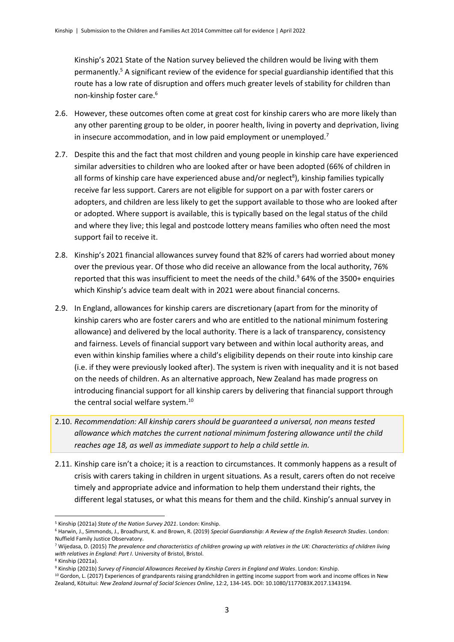Kinship's 2021 State of the Nation survey believed the children would be living with them permanently.<sup>5</sup> A significant review of the evidence for special guardianship identified that this route has a low rate of disruption and offers much greater levels of stability for children than non-kinship foster care.<sup>6</sup>

- 2.6. However, these outcomes often come at great cost for kinship carers who are more likely than any other parenting group to be older, in poorer health, living in poverty and deprivation, living in insecure accommodation, and in low paid employment or unemployed.<sup>7</sup>
- 2.7. Despite this and the fact that most children and young people in kinship care have experienced similar adversities to children who are looked after or have been adopted (66% of children in all forms of kinship care have experienced abuse and/or neglect<sup>8</sup>), kinship families typically receive far less support. Carers are not eligible for support on a par with foster carers or adopters, and children are less likely to get the support available to those who are looked after or adopted. Where support is available, this is typically based on the legal status of the child and where they live; this legal and postcode lottery means families who often need the most support fail to receive it.
- 2.8. Kinship's 2021 financial allowances survey found that 82% of carers had worried about money over the previous year. Of those who did receive an allowance from the local authority, 76% reported that this was insufficient to meet the needs of the child. $964%$  of the 3500+ enquiries which Kinship's advice team dealt with in 2021 were about financial concerns.
- 2.9. In England, allowances for kinship carers are discretionary (apart from for the minority of kinship carers who are foster carers and who are entitled to the national minimum fostering allowance) and delivered by the local authority. There is a lack of transparency, consistency and fairness. Levels of financial support vary between and within local authority areas, and even within kinship families where a child's eligibility depends on their route into kinship care (i.e. if they were previously looked after). The system is riven with inequality and it is not based on the needs of children. As an alternative approach, New Zealand has made progress on introducing financial support for all kinship carers by delivering that financial support through the central social welfare system.<sup>10</sup>
- 2.10. *Recommendation: All kinship carers should be guaranteed a universal, non means tested allowance which matches the current national minimum fostering allowance until the child reaches age 18, as well as immediate support to help a child settle in.*
- 2.11. Kinship care isn't a choice; it is a reaction to circumstances. It commonly happens as a result of crisis with carers taking in children in urgent situations. As a result, carers often do not receive timely and appropriate advice and information to help them understand their rights, the different legal statuses, or what this means for them and the child. Kinship's annual survey in

<sup>5</sup> Kinship (2021a) *State of the Nation Survey 2021*. London: Kinship.

<sup>6</sup> Harwin, J., Simmonds, J., Broadhurst, K. and Brown, R. (2019) *Special Guardianship: A Review of the English Research Studies*. London: Nuffield Family Justice Observatory.

<sup>7</sup> Wijedasa, D. (2015) *The prevalence and characteristics of children growing up with relatives in the UK: Characteristics of children living with relatives in England: Part I*. University of Bristol, Bristol.

<sup>8</sup> Kinship (2021a).

<sup>9</sup> Kinship (2021b) *Survey of Financial Allowances Received by Kinship Carers in England and Wales*. London: Kinship.

<sup>&</sup>lt;sup>10</sup> Gordon, L. (2017) Experiences of grandparents raising grandchildren in getting income support from work and income offices in New Zealand, Kōtuitui: *New Zealand Journal of Social Sciences Online*, 12:2, 134-145. DOI: 10.1080/1177083X.2017.1343194.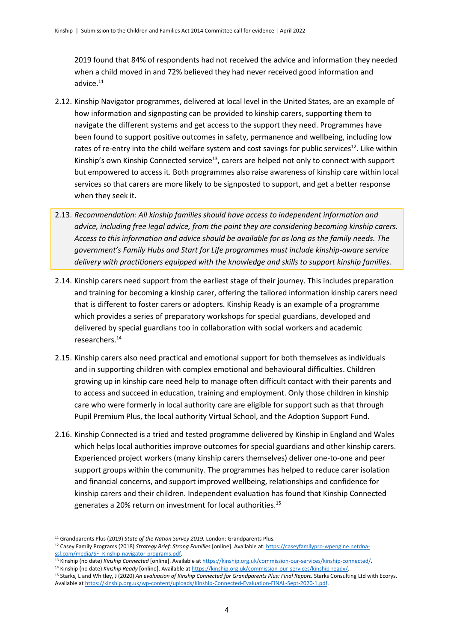2019 found that 84% of respondents had not received the advice and information they needed when a child moved in and 72% believed they had never received good information and advice.<sup>11</sup>

- 2.12. Kinship Navigator programmes, delivered at local level in the United States, are an example of how information and signposting can be provided to kinship carers, supporting them to navigate the different systems and get access to the support they need. Programmes have been found to support positive outcomes in safety, permanence and wellbeing, including low rates of re-entry into the child welfare system and cost savings for public services<sup>12</sup>. Like within Kinship's own Kinship Connected service<sup>13</sup>, carers are helped not only to connect with support but empowered to access it. Both programmes also raise awareness of kinship care within local services so that carers are more likely to be signposted to support, and get a better response when they seek it.
- 2.13. *Recommendation: All kinship families should have access to independent information and advice, including free legal advice, from the point they are considering becoming kinship carers. Access to this information and advice should be available for as long as the family needs. The government's Family Hubs and Start for Life programmes must include kinship-aware service delivery with practitioners equipped with the knowledge and skills to support kinship families.*
- 2.14. Kinship carers need support from the earliest stage of their journey. This includes preparation and training for becoming a kinship carer, offering the tailored information kinship carers need that is different to foster carers or adopters. Kinship Ready is an example of a programme which provides a series of preparatory workshops for special guardians, developed and delivered by special guardians too in collaboration with social workers and academic researchers.<sup>14</sup>
- 2.15. Kinship carers also need practical and emotional support for both themselves as individuals and in supporting children with complex emotional and behavioural difficulties. Children growing up in kinship care need help to manage often difficult contact with their parents and to access and succeed in education, training and employment. Only those children in kinship care who were formerly in local authority care are eligible for support such as that through Pupil Premium Plus, the local authority Virtual School, and the Adoption Support Fund.
- 2.16. Kinship Connected is a tried and tested programme delivered by Kinship in England and Wales which helps local authorities improve outcomes for special guardians and other kinship carers. Experienced project workers (many kinship carers themselves) deliver one-to-one and peer support groups within the community. The programmes has helped to reduce carer isolation and financial concerns, and support improved wellbeing, relationships and confidence for kinship carers and their children. Independent evaluation has found that Kinship Connected generates a 20% return on investment for local authorities.<sup>15</sup>

- <sup>13</sup> Kinship (no date) *Kinship Connected* [online]. Available at [https://kinship.org.uk/commission-our-services/kinship-connected/.](https://kinship.org.uk/commission-our-services/kinship-connected/)
- <sup>14</sup> Kinship (no date) *Kinship Ready* [online]. Available a[t https://kinship.org.uk/commission-our-services/kinship-ready/.](https://kinship.org.uk/commission-our-services/kinship-ready/) <sup>15</sup> Starks, L and Whitley, J (2020) *An evaluation of Kinship Connected for Grandparents Plus: Final Report.* Starks Consulting Ltd with Ecorys.

<sup>11</sup> Grandparents Plus (2019) *State of the Nation Survey 2019.* London: Grandparents Plus.

<sup>12</sup> Casey Family Programs (2018) *Strategy Brief: Strong Families* [online]. Available at[: https://caseyfamilypro-wpengine.netdna](https://caseyfamilypro-wpengine.netdna-ssl.com/media/SF_Kinship-navigator-programs.pdf)[ssl.com/media/SF\\_Kinship-navigator-programs.pdf.](https://caseyfamilypro-wpengine.netdna-ssl.com/media/SF_Kinship-navigator-programs.pdf)

Available a[t https://kinship.org.uk/wp-content/uploads/Kinship-Connected-Evaluation-FINAL-Sept-2020-1.pdf.](https://kinship.org.uk/wp-content/uploads/Kinship-Connected-Evaluation-FINAL-Sept-2020-1.pdf)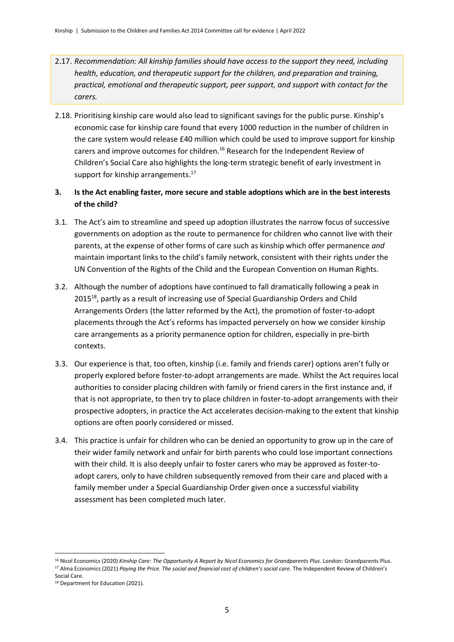- 2.17. *Recommendation: All kinship families should have access to the support they need, including health, education, and therapeutic support for the children, and preparation and training, practical, emotional and therapeutic support, peer support, and support with contact for the carers.*
- 2.18. Prioritising kinship care would also lead to significant savings for the public purse. Kinship's economic case for kinship care found that every 1000 reduction in the number of children in the care system would release £40 million which could be used to improve support for kinship carers and improve outcomes for children.<sup>16</sup> Research for the Independent Review of Children's Social Care also highlights the long-term strategic benefit of early investment in support for kinship arrangements.<sup>17</sup>
- **3. Is the Act enabling faster, more secure and stable adoptions which are in the best interests of the child?**
- 3.1. The Act's aim to streamline and speed up adoption illustrates the narrow focus of successive governments on adoption as the route to permanence for children who cannot live with their parents, at the expense of other forms of care such as kinship which offer permanence *and* maintain important links to the child's family network, consistent with their rights under the UN Convention of the Rights of the Child and the European Convention on Human Rights.
- 3.2. Although the number of adoptions have continued to fall dramatically following a peak in 2015<sup>18</sup>, partly as a result of increasing use of Special Guardianship Orders and Child Arrangements Orders (the latter reformed by the Act), the promotion of foster-to-adopt placements through the Act's reforms has impacted perversely on how we consider kinship care arrangements as a priority permanence option for children, especially in pre-birth contexts.
- 3.3. Our experience is that, too often, kinship (i.e. family and friends carer) options aren't fully or properly explored before foster-to-adopt arrangements are made. Whilst the Act requires local authorities to consider placing children with family or friend carers in the first instance and, if that is not appropriate, to then try to place children in foster-to-adopt arrangements with their prospective adopters, in practice the Act accelerates decision-making to the extent that kinship options are often poorly considered or missed.
- 3.4. This practice is unfair for children who can be denied an opportunity to grow up in the care of their wider family network and unfair for birth parents who could lose important connections with their child. It is also deeply unfair to foster carers who may be approved as foster-toadopt carers, only to have children subsequently removed from their care and placed with a family member under a Special Guardianship Order given once a successful viability assessment has been completed much later.

<sup>16</sup> Nicol Economics (2020) *Kinship Care: The Opportunity A Report by Nicol Economics for Grandparents Plus*. London: Grandparents Plus. <sup>17</sup> Alma Economics (2021) *Paying the Price. The social and financial cost of children's social care*. The Independent Review of Children's

Social Care.

<sup>&</sup>lt;sup>18</sup> Department for Education (2021).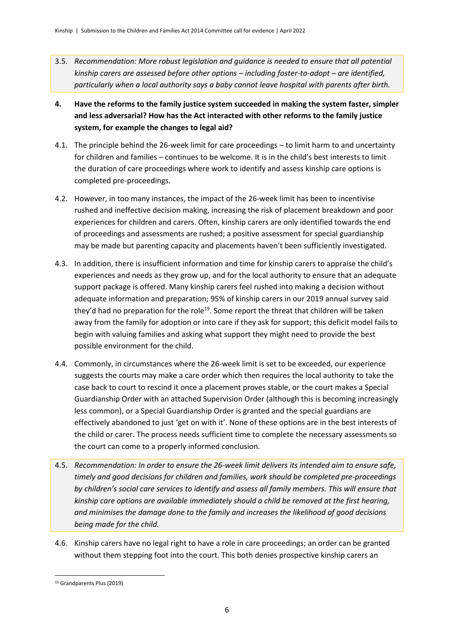- 3.5. *Recommendation: More robust legislation and guidance is needed to ensure that all potential kinship carers are assessed before other options – including foster-to-adopt – are identified, particularly when a local authority says a baby cannot leave hospital with parents after birth.*
- **4. Have the reforms to the family justice system succeeded in making the system faster, simpler and less adversarial? How has the Act interacted with other reforms to the family justice system, for example the changes to legal aid?**
- 4.1. The principle behind the 26-week limit for care proceedings to limit harm to and uncertainty for children and families – continues to be welcome. It is in the child's best interests to limit the duration of care proceedings where work to identify and assess kinship care options is completed pre-proceedings.
- 4.2. However, in too many instances, the impact of the 26-week limit has been to incentivise rushed and ineffective decision making, increasing the risk of placement breakdown and poor experiences for children and carers. Often, kinship carers are only identified towards the end of proceedings and assessments are rushed; a positive assessment for special guardianship may be made but parenting capacity and placements haven't been sufficiently investigated.
- 4.3. In addition, there is insufficient information and time for kinship carers to appraise the child's experiences and needs as they grow up, and for the local authority to ensure that an adequate support package is offered. Many kinship carers feel rushed into making a decision without adequate information and preparation; 95% of kinship carers in our 2019 annual survey said they'd had no preparation for the role<sup>19</sup>. Some report the threat that children will be taken away from the family for adoption or into care if they ask for support; this deficit model fails to begin with valuing families and asking what support they might need to provide the best possible environment for the child.
- 4.4. Commonly, in circumstances where the 26-week limit is set to be exceeded, our experience suggests the courts may make a care order which then requires the local authority to take the case back to court to rescind it once a placement proves stable, or the court makes a Special Guardianship Order with an attached Supervision Order (although this is becoming increasingly less common), or a Special Guardianship Order is granted and the special guardians are effectively abandoned to just 'get on with it'. None of these options are in the best interests of the child or carer. The process needs sufficient time to complete the necessary assessments so the court can come to a properly informed conclusion.
- 4.5. *Recommendation: In order to ensure the 26-week limit delivers its intended aim to ensure safe, timely and good decisions for children and families, work should be completed pre-proceedings by children's social care services to identify and assess all family members. This will ensure that kinship care options are available immediately should a child be removed at the first hearing, and minimises the damage done to the family and increases the likelihood of good decisions being made for the child.*
- 4.6. Kinship carers have no legal right to have a role in care proceedings; an order can be granted without them stepping foot into the court. This both denies prospective kinship carers an

<sup>19</sup> Grandparents Plus (2019)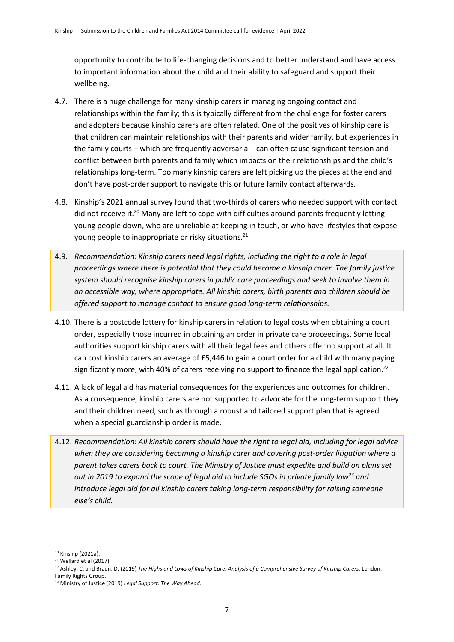opportunity to contribute to life-changing decisions and to better understand and have access to important information about the child and their ability to safeguard and support their wellbeing.

- 4.7. There is a huge challenge for many kinship carers in managing ongoing contact and relationships within the family; this is typically different from the challenge for foster carers and adopters because kinship carers are often related. One of the positives of kinship care is that children can maintain relationships with their parents and wider family, but experiences in the family courts – which are frequently adversarial - can often cause significant tension and conflict between birth parents and family which impacts on their relationships and the child's relationships long-term. Too many kinship carers are left picking up the pieces at the end and don't have post-order support to navigate this or future family contact afterwards.
- 4.8. Kinship's 2021 annual survey found that two-thirds of carers who needed support with contact did not receive it.<sup>20</sup> Many are left to cope with difficulties around parents frequently letting young people down, who are unreliable at keeping in touch, or who have lifestyles that expose young people to inappropriate or risky situations.<sup>21</sup>
- 4.9. *Recommendation: Kinship carers need legal rights, including the right to a role in legal proceedings where there is potential that they could become a kinship carer. The family justice system should recognise kinship carers in public care proceedings and seek to involve them in an accessible way, where appropriate. All kinship carers, birth parents and children should be offered support to manage contact to ensure good long-term relationships.*
- 4.10. There is a postcode lottery for kinship carers in relation to legal costs when obtaining a court order, especially those incurred in obtaining an order in private care proceedings. Some local authorities support kinship carers with all their legal fees and others offer no support at all. It can cost kinship carers an average of £5,446 to gain a court order for a child with many paying significantly more, with 40% of carers receiving no support to finance the legal application.<sup>22</sup>
- 4.11. A lack of legal aid has material consequences for the experiences and outcomes for children. As a consequence, kinship carers are not supported to advocate for the long-term support they and their children need, such as through a robust and tailored support plan that is agreed when a special guardianship order is made.
- 4.12. *Recommendation: All kinship carers should have the right to legal aid, including for legal advice when they are considering becoming a kinship carer and covering post-order litigation where a parent takes carers back to court. The Ministry of Justice must expedite and build on plans set out in 2019 to expand the scope of legal aid to include SGOs in private family law<sup>23</sup> and introduce legal aid for all kinship carers taking long-term responsibility for raising someone else's child.*

<sup>20</sup> Kinship (2021a).

 $21$  Wellard et al (2017).

<sup>22</sup> Ashley, C. and Braun, D. (2019) *The Highs and Lows of Kinship Care: Analysis of a Comprehensive Survey of Kinship Carers*. London: Family Rights Group.

<sup>23</sup> Ministry of Justice (2019) *Legal Support: The Way Ahead*.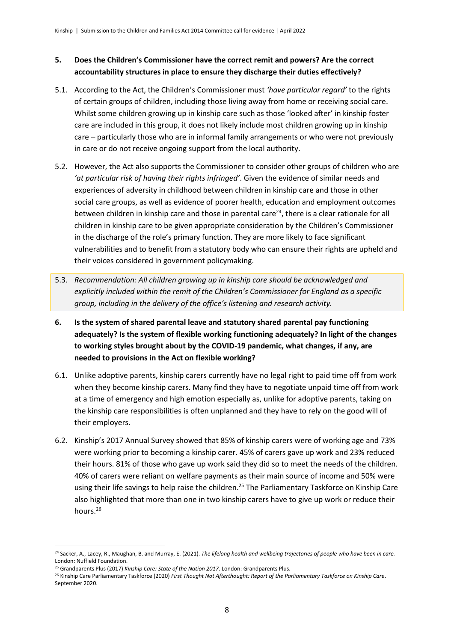#### **5. Does the Children's Commissioner have the correct remit and powers? Are the correct accountability structures in place to ensure they discharge their duties effectively?**

- 5.1. According to the Act, the Children's Commissioner must *'have particular regard'* to the rights of certain groups of children, including those living away from home or receiving social care. Whilst some children growing up in kinship care such as those 'looked after' in kinship foster care are included in this group, it does not likely include most children growing up in kinship care – particularly those who are in informal family arrangements or who were not previously in care or do not receive ongoing support from the local authority.
- 5.2. However, the Act also supports the Commissioner to consider other groups of children who are *'at particular risk of having their rights infringed'*. Given the evidence of similar needs and experiences of adversity in childhood between children in kinship care and those in other social care groups, as well as evidence of poorer health, education and employment outcomes between children in kinship care and those in parental care<sup>24</sup>, there is a clear rationale for all children in kinship care to be given appropriate consideration by the Children's Commissioner in the discharge of the role's primary function. They are more likely to face significant vulnerabilities and to benefit from a statutory body who can ensure their rights are upheld and their voices considered in government policymaking.
- 5.3. *Recommendation: All children growing up in kinship care should be acknowledged and explicitly included within the remit of the Children's Commissioner for England as a specific group, including in the delivery of the office's listening and research activity.*
- **6. Is the system of shared parental leave and statutory shared parental pay functioning adequately? Is the system of flexible working functioning adequately? In light of the changes to working styles brought about by the COVID-19 pandemic, what changes, if any, are needed to provisions in the Act on flexible working?**
- 6.1. Unlike adoptive parents, kinship carers currently have no legal right to paid time off from work when they become kinship carers. Many find they have to negotiate unpaid time off from work at a time of emergency and high emotion especially as, unlike for adoptive parents, taking on the kinship care responsibilities is often unplanned and they have to rely on the good will of their employers.
- 6.2. Kinship's 2017 Annual Survey showed that 85% of kinship carers were of working age and 73% were working prior to becoming a kinship carer. 45% of carers gave up work and 23% reduced their hours. 81% of those who gave up work said they did so to meet the needs of the children. 40% of carers were reliant on welfare payments as their main source of income and 50% were using their life savings to help raise the children.<sup>25</sup> The Parliamentary Taskforce on Kinship Care also highlighted that more than one in two kinship carers have to give up work or reduce their hours. 26

<sup>24</sup> Sacker, A., Lacey, R., Maughan, B. and Murray, E. (2021). *The lifelong health and wellbeing trajectories of people who have been in care.* London: Nuffield Foundation.

<sup>25</sup> Grandparents Plus (2017) *Kinship Care: State of the Nation 2017*. London: Grandparents Plus.

<sup>26</sup> Kinship Care Parliamentary Taskforce (2020) *First Thought Not Afterthought: Report of the Parliamentary Taskforce on Kinship Care*. September 2020.